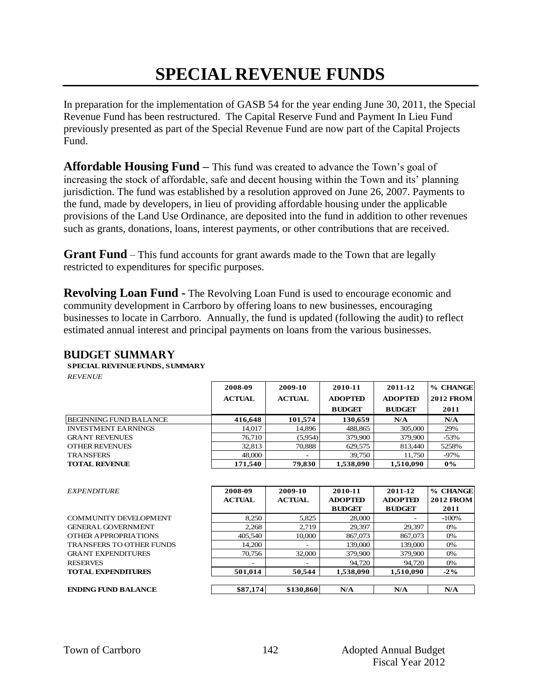# **SPECIAL REVENUE FUNDS**

In preparation for the implementation of GASB 54 for the year ending June 30, 2011, the Special Revenue Fund has been restructured. The Capital Reserve Fund and Payment In Lieu Fund previously presented as part of the Special Revenue Fund are now part of the Capital Projects Fund.

**Affordable Housing Fund –** This fund was created to advance the Town's goal of increasing the stock of affordable, safe and decent housing within the Town and its' planning jurisdiction. The fund was established by a resolution approved on June 26, 2007. Payments to the fund, made by developers, in lieu of providing affordable housing under the applicable provisions of the Land Use Ordinance, are deposited into the fund in addition to other revenues such as grants, donations, loans, interest payments, or other contributions that are received.

**Grant Fund** – This fund accounts for grant awards made to the Town that are legally restricted to expenditures for specific purposes.

**Revolving Loan Fund -** The Revolving Loan Fund is used to encourage economic and community development in Carrboro by offering loans to new businesses, encouraging businesses to locate in Carrboro. Annually, the fund is updated (following the audit) to reflect estimated annual interest and principal payments on loans from the various businesses.

| <b>REVENUE</b>                | 2008-09       | 2009-10       | 2010-11        | 2011-12        | % CHANGE         |
|-------------------------------|---------------|---------------|----------------|----------------|------------------|
|                               | <b>ACTUAL</b> | <b>ACTUAL</b> | <b>ADOPTED</b> | <b>ADOPTED</b> | <b>2012 FROM</b> |
|                               |               |               | <b>BUDGET</b>  | <b>BUDGET</b>  | 2011             |
| <b>BEGINNING FUND BALANCE</b> | 416,648       | 101,574       | 130.659        | N/A            | N/A              |
| <b>INVESTMENT EARNINGS</b>    | 14,017        | 14,896        | 488,865        | 305,000        | 29%              |
| <b>GRANT REVENUES</b>         | 76,710        | (5,954)       | 379,900        | 379,900        | $-53%$           |
| <b>OTHER REVENUES</b>         | 32,813        | 70,888        | 629,575        | 813.440        | 5258%            |
| <b>TRANSFERS</b>              | 48,000        |               | 39,750         | 11,750         | -97%             |
| <b>TOTAL REVENUE</b>          | 171.540       | 79.830        | 1.538.090      | 1.510.090      | $0\%$            |

#### **Budget summary**

 $\mathbf{FNDING}\text{ FUND BALANCE}$ 

| <b>EXPENDITURE</b>              | 2008-09<br><b>ACTUAL</b> | 2009-10<br><b>ACTUAL</b> | 2010-11<br><b>ADOPTED</b><br><b>BUDGET</b> | 2011-12<br><b>ADOPTED</b><br><b>BUDGET</b> | % CHANGE<br><b>2012 FROM</b><br>2011 |
|---------------------------------|--------------------------|--------------------------|--------------------------------------------|--------------------------------------------|--------------------------------------|
| <b>COMMUNITY DEVELOPMENT</b>    | 8,250                    | 5,825                    | 28,000                                     |                                            | $-100\%$                             |
| <b>GENERAL GOVERNMENT</b>       | 2,268                    | 2,719                    | 29,397                                     | 29,397                                     | 0%                                   |
| OTHER APPROPRIATIONS            | 405,540                  | 10,000                   | 867,073                                    | 867,073                                    | 0%                                   |
| <b>TRANSFERS TO OTHER FUNDS</b> | 14,200                   | $\overline{\phantom{0}}$ | 139,000                                    | 139,000                                    | 0%                                   |
| <b>GRANT EXPENDITURES</b>       | 70,756                   | 32,000                   | 379,900                                    | 379,900                                    | 0%                                   |
| <b>RESERVES</b>                 | $\overline{\phantom{0}}$ |                          | 94,720                                     | 94,720                                     | 0%                                   |
| <b>TOTAL EXPENDITURES</b>       | 501,014                  | 50,544                   | 1,538,090                                  | 1,510,090                                  | $-2\%$                               |
| <b>ENDING ELMD RALANCE</b>      | <b>\$87 174</b>          | \$130.860                | $N/\Delta$                                 | $N/\Delta$                                 | $N/\Delta$                           |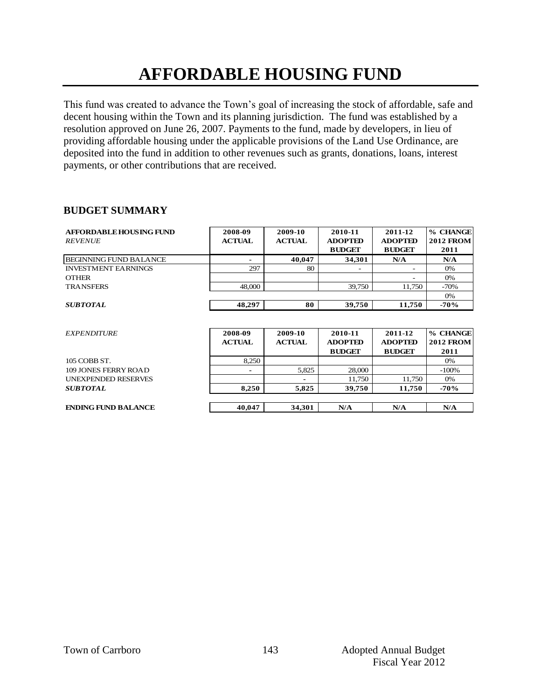# **AFFORDABLE HOUSING FUND**

This fund was created to advance the Town's goal of increasing the stock of affordable, safe and decent housing within the Town and its planning jurisdiction. The fund was established by a resolution approved on June 26, 2007. Payments to the fund, made by developers, in lieu of providing affordable housing under the applicable provisions of the Land Use Ordinance, are deposited into the fund in addition to other revenues such as grants, donations, loans, interest payments, or other contributions that are received.

#### **BUDGET SUMMARY**

| AFFORDABLE HOUSING FUND<br><b>REVENUE</b> | 2008-09<br><b>ACTUAL</b> | 2009-10<br><b>ACTUAL</b> | 2010-11<br><b>ADOPTED</b><br><b>BUDGET</b> | 2011-12<br><b>ADOPTED</b><br><b>BUDGET</b> | % CHANGE<br><b>2012 FROM</b><br>2011 |
|-------------------------------------------|--------------------------|--------------------------|--------------------------------------------|--------------------------------------------|--------------------------------------|
| <b>BEGINNING FUND BALANCE</b>             | $\blacksquare$           | 40,047                   | 34.301                                     | N/A                                        | N/A                                  |
| <b>INVESTMENT EARNINGS</b>                | 297                      | 80                       | ۰                                          | $\overline{\phantom{a}}$                   | 0%                                   |
| <b>OTHER</b>                              |                          |                          |                                            |                                            | 0%                                   |
| <b>TRANSFERS</b>                          | 48,000                   |                          | 39,750                                     | 11.750                                     | $-70%$                               |
|                                           |                          |                          |                                            |                                            | 0%                                   |
| <b>SUBTOTAL</b>                           | 48,297                   | 80                       | 39,750                                     | 11,750                                     | $-70%$                               |
|                                           |                          |                          |                                            |                                            |                                      |
| <b>EXPENDITURE</b>                        | 2008-09                  | 2009-10                  | 2010-11                                    | 2011-12                                    | % CHANGE                             |
|                                           | <b>ACTUAL</b>            | <b>ACTUAL</b>            | <b>ADOPTED</b>                             | <b>ADOPTED</b>                             | <b>2012 FROM</b>                     |
|                                           |                          |                          | <b>BUDGET</b>                              | <b>BUDGET</b>                              | 2011                                 |
| 105 COBB ST.                              | 8,250                    |                          |                                            |                                            | 0%                                   |
| 109 JONES FERRY ROAD                      | ٠                        | 5,825                    | 28,000                                     |                                            | $-100%$                              |
| <b>UNEXPENDED RESERVES</b>                |                          |                          | 11,750                                     | 11,750                                     | 0%                                   |
| <b>SUBTOTAL</b>                           | 8,250                    | 5,825                    | 39,750                                     | 11,750                                     | $-70%$                               |
|                                           |                          |                          |                                            |                                            |                                      |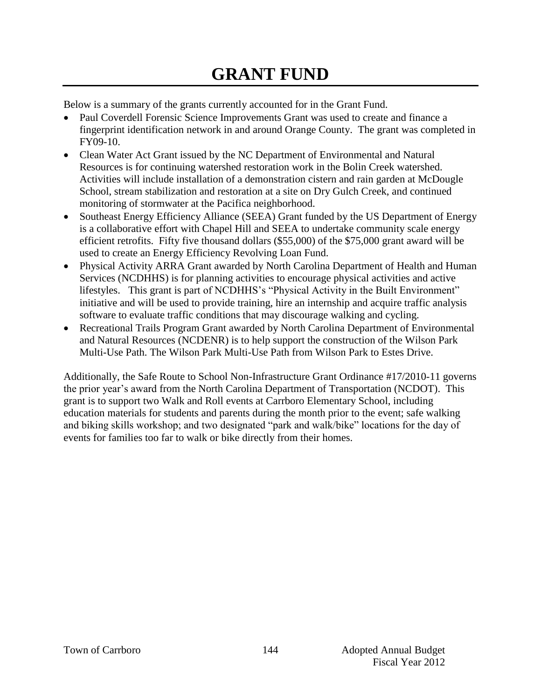# **GRANT FUND**

Below is a summary of the grants currently accounted for in the Grant Fund.

- Paul Coverdell Forensic Science Improvements Grant was used to create and finance a fingerprint identification network in and around Orange County. The grant was completed in FY09-10.
- Clean Water Act Grant issued by the NC Department of Environmental and Natural Resources is for continuing watershed restoration work in the Bolin Creek watershed. Activities will include installation of a demonstration cistern and rain garden at McDougle School, stream stabilization and restoration at a site on Dry Gulch Creek, and continued monitoring of stormwater at the Pacifica neighborhood.
- Southeast Energy Efficiency Alliance (SEEA) Grant funded by the US Department of Energy is a collaborative effort with Chapel Hill and SEEA to undertake community scale energy efficient retrofits. Fifty five thousand dollars (\$55,000) of the \$75,000 grant award will be used to create an Energy Efficiency Revolving Loan Fund.
- Physical Activity ARRA Grant awarded by North Carolina Department of Health and Human Services (NCDHHS) is for planning activities to encourage physical activities and active lifestyles. This grant is part of NCDHHS's "Physical Activity in the Built Environment" initiative and will be used to provide training, hire an internship and acquire traffic analysis software to evaluate traffic conditions that may discourage walking and cycling.
- Recreational Trails Program Grant awarded by North Carolina Department of Environmental and Natural Resources (NCDENR) is to help support the construction of the Wilson Park Multi-Use Path. The Wilson Park Multi-Use Path from Wilson Park to Estes Drive.

Additionally, the Safe Route to School Non-Infrastructure Grant Ordinance #17/2010-11 governs the prior year's award from the North Carolina Department of Transportation (NCDOT). This grant is to support two Walk and Roll events at Carrboro Elementary School, including education materials for students and parents during the month prior to the event; safe walking and biking skills workshop; and two designated "park and walk/bike" locations for the day of events for families too far to walk or bike directly from their homes.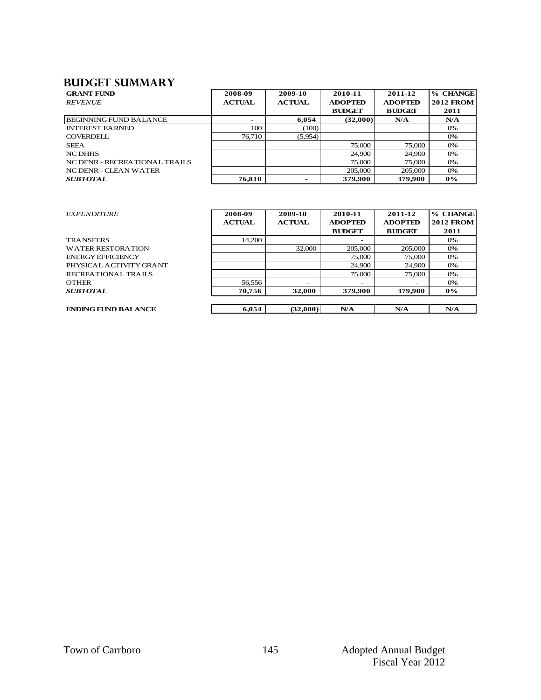#### **Budget summary**

| <b>BUDGET SUMMARY</b>         |               |               |                |                |                  |
|-------------------------------|---------------|---------------|----------------|----------------|------------------|
| <b>GRANT FUND</b>             | 2008-09       | 2009-10       | 2010-11        | 2011-12        | % CHANGE         |
| <b>REVENUE</b>                | <b>ACTUAL</b> | <b>ACTUAL</b> | <b>ADOPTED</b> | <b>ADOPTED</b> | <b>2012 FROM</b> |
|                               |               |               | <b>BUDGET</b>  | <b>BUDGET</b>  | 2011             |
| <b>BEGINNING FUND BALANCE</b> | -             | 6.054         | (32,000)       | N/A            | N/A              |
| <b>INTEREST EARNED</b>        | 100           | (100)         |                |                | 0%               |
| <b>COVERDELL</b>              | 76.710        | (5,954)       |                |                | 0%               |
| <b>SEEA</b>                   |               |               | 75,000         | 75,000         | 0%               |
| <b>NC DHHS</b>                |               |               | 24,900         | 24,900         | 0%               |
| NC DENR - RECREATIONAL TRAILS |               |               | 75,000         | 75,000         | $0\%$            |
| NC DENR - CLEAN WATER         |               |               | 205,000        | 205,000        | 0%               |
| <b>SUBTOTAL</b>               | 76,810        |               | 379,900        | 379,900        | $0\%$            |

|        |                                   | 20.000                               | 20.000                           | $U$ /0                           |
|--------|-----------------------------------|--------------------------------------|----------------------------------|----------------------------------|
| 76,810 |                                   | 379,900                              | 379,900                          | $0\%$                            |
|        |                                   |                                      |                                  |                                  |
|        |                                   |                                      |                                  |                                  |
|        |                                   |                                      |                                  | % CHANGE                         |
|        |                                   |                                      |                                  | <b>2012 FROM</b>                 |
|        |                                   | <b>BUDGET</b>                        | <b>BUDGET</b>                    | 2011                             |
| 14,200 |                                   |                                      |                                  | 0%                               |
|        | 32,000                            | 205,000                              | 205,000                          | 0%                               |
|        |                                   | 75,000                               | 75,000                           | 0%                               |
|        |                                   | 24.900                               | 24,900                           | 0%                               |
|        |                                   | 75,000                               | 75,000                           | 0%                               |
| 56,556 |                                   |                                      |                                  | 0%                               |
| 70,756 | 32,000                            | 379,900                              | 379,900                          | $0\%$                            |
|        |                                   |                                      |                                  |                                  |
|        |                                   |                                      |                                  | N/A                              |
|        | 2008-09<br><b>ACTUAL</b><br>6,054 | 2009-10<br><b>ACTUAL</b><br>(32,000) | 2010-11<br><b>ADOPTED</b><br>N/A | 2011-12<br><b>ADOPTED</b><br>N/A |